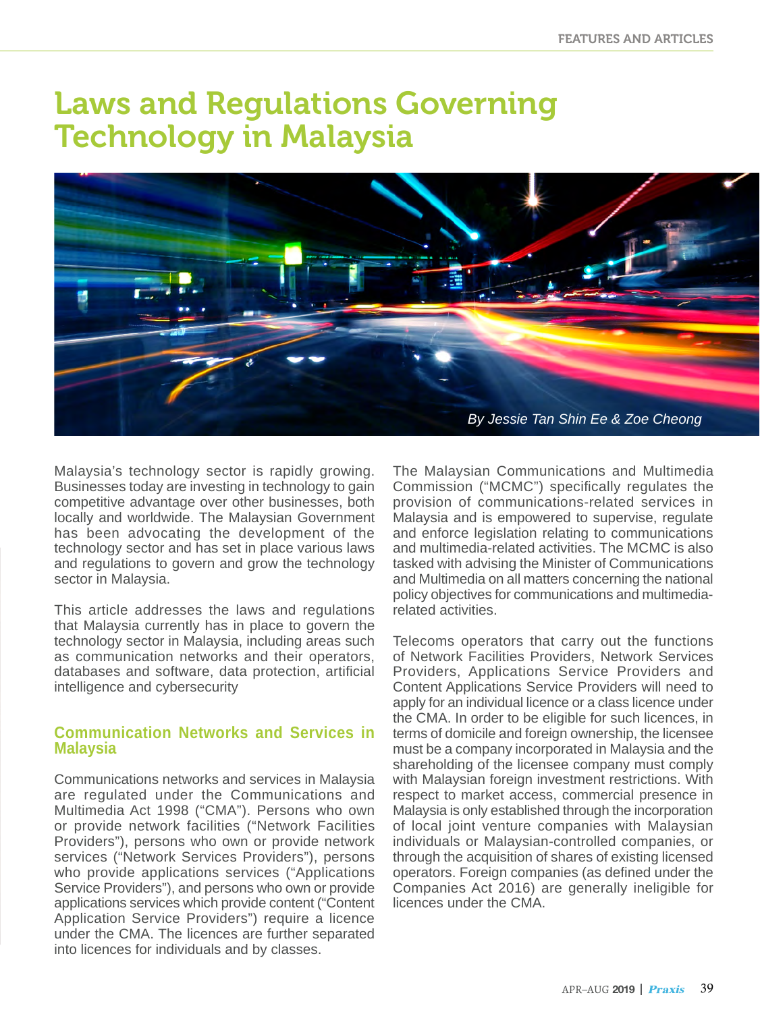# Laws and Regulations Governing Technology in Malaysia



Malaysia's technology sector is rapidly growing. Businesses today are investing in technology to gain competitive advantage over other businesses, both locally and worldwide. The Malaysian Government has been advocating the development of the technology sector and has set in place various laws and regulations to govern and grow the technology sector in Malaysia.

This article addresses the laws and regulations that Malaysia currently has in place to govern the technology sector in Malaysia, including areas such as communication networks and their operators, databases and software, data protection, artificial intelligence and cybersecurity

#### **Communication Networks and Services in Malaysia**

Communications networks and services in Malaysia are regulated under the Communications and Multimedia Act 1998 ("CMA"). Persons who own or provide network facilities ("Network Facilities Providers"), persons who own or provide network services ("Network Services Providers"), persons who provide applications services ("Applications Service Providers"), and persons who own or provide applications services which provide content ("Content Application Service Providers") require a licence under the CMA. The licences are further separated into licences for individuals and by classes.

The Malaysian Communications and Multimedia Commission ("MCMC") specifically regulates the provision of communications-related services in Malaysia and is empowered to supervise, regulate and enforce legislation relating to communications and multimedia-related activities. The MCMC is also tasked with advising the Minister of Communications and Multimedia on all matters concerning the national policy objectives for communications and multimediarelated activities.

Telecoms operators that carry out the functions of Network Facilities Providers, Network Services Providers, Applications Service Providers and Content Applications Service Providers will need to apply for an individual licence or a class licence under the CMA. In order to be eligible for such licences, in terms of domicile and foreign ownership, the licensee must be a company incorporated in Malaysia and the shareholding of the licensee company must comply with Malaysian foreign investment restrictions. With respect to market access, commercial presence in Malaysia is only established through the incorporation of local joint venture companies with Malaysian individuals or Malaysian-controlled companies, or through the acquisition of shares of existing licensed operators. Foreign companies (as defined under the Companies Act 2016) are generally ineligible for licences under the CMA.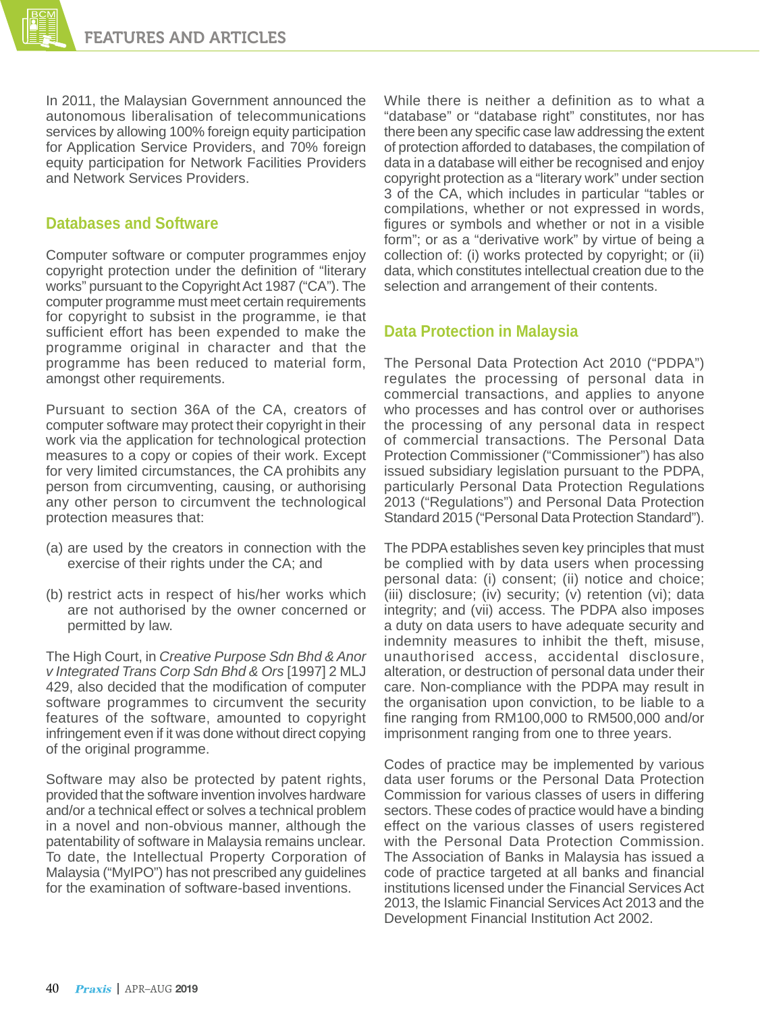In 2011, the Malaysian Government announced the autonomous liberalisation of telecommunications services by allowing 100% foreign equity participation for Application Service Providers, and 70% foreign equity participation for Network Facilities Providers and Network Services Providers.

## **Databases and Software**

Computer software or computer programmes enjoy copyright protection under the definition of "literary works" pursuant to the Copyright Act 1987 ("CA"). The computer programme must meet certain requirements for copyright to subsist in the programme, ie that sufficient effort has been expended to make the programme original in character and that the programme has been reduced to material form, amongst other requirements.

Pursuant to section 36A of the CA, creators of computer software may protect their copyright in their work via the application for technological protection measures to a copy or copies of their work. Except for very limited circumstances, the CA prohibits any person from circumventing, causing, or authorising any other person to circumvent the technological protection measures that:

- (a) are used by the creators in connection with the exercise of their rights under the CA; and
- (b) restrict acts in respect of his/her works which are not authorised by the owner concerned or permitted by law.

The High Court, in *Creative Purpose Sdn Bhd & Anor v Integrated Trans Corp Sdn Bhd & Ors* [1997] 2 MLJ 429, also decided that the modification of computer software programmes to circumvent the security features of the software, amounted to copyright infringement even if it was done without direct copying of the original programme.

Software may also be protected by patent rights, provided that the software invention involves hardware and/or a technical effect or solves a technical problem in a novel and non-obvious manner, although the patentability of software in Malaysia remains unclear. To date, the Intellectual Property Corporation of Malaysia ("MyIPO") has not prescribed any guidelines for the examination of software-based inventions.

While there is neither a definition as to what a "database" or "database right" constitutes, nor has there been any specific case law addressing the extent of protection afforded to databases, the compilation of data in a database will either be recognised and enjoy copyright protection as a "literary work" under section 3 of the CA, which includes in particular "tables or compilations, whether or not expressed in words, figures or symbols and whether or not in a visible form"; or as a "derivative work" by virtue of being a collection of: (i) works protected by copyright; or (ii) data, which constitutes intellectual creation due to the selection and arrangement of their contents.

## **Data Protection in Malaysia**

The Personal Data Protection Act 2010 ("PDPA") regulates the processing of personal data in commercial transactions, and applies to anyone who processes and has control over or authorises the processing of any personal data in respect of commercial transactions. The Personal Data Protection Commissioner ("Commissioner") has also issued subsidiary legislation pursuant to the PDPA, particularly Personal Data Protection Regulations 2013 ("Regulations") and Personal Data Protection Standard 2015 ("Personal Data Protection Standard").

The PDPA establishes seven key principles that must be complied with by data users when processing personal data: (i) consent; (ii) notice and choice; (iii) disclosure; (iv) security; (v) retention (vi); data integrity; and (vii) access. The PDPA also imposes a duty on data users to have adequate security and indemnity measures to inhibit the theft, misuse, unauthorised access, accidental disclosure, alteration, or destruction of personal data under their care. Non-compliance with the PDPA may result in the organisation upon conviction, to be liable to a fine ranging from RM100,000 to RM500,000 and/or imprisonment ranging from one to three years.

Codes of practice may be implemented by various data user forums or the Personal Data Protection Commission for various classes of users in differing sectors. These codes of practice would have a binding effect on the various classes of users registered with the Personal Data Protection Commission. The Association of Banks in Malaysia has issued a code of practice targeted at all banks and financial institutions licensed under the Financial Services Act 2013, the Islamic Financial Services Act 2013 and the Development Financial Institution Act 2002.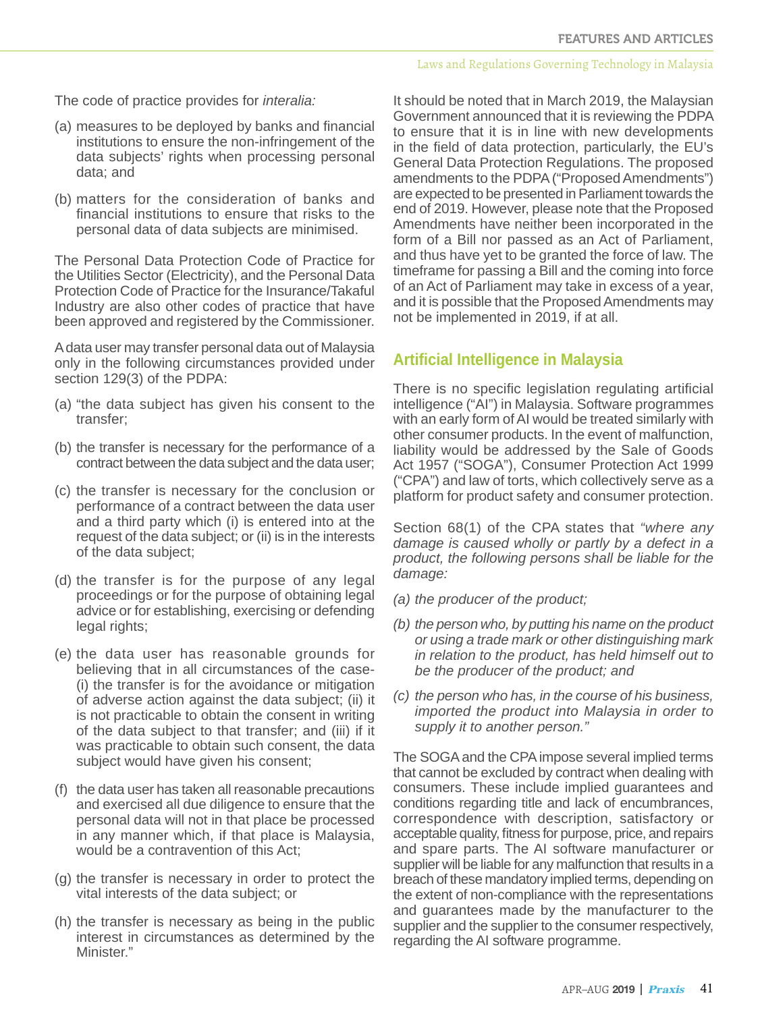#### Laws and Regulations Governing Technology in Malaysia

The code of practice provides for *interalia:* 

- (a) measures to be deployed by banks and financial institutions to ensure the non-infringement of the data subjects' rights when processing personal data; and
- (b) matters for the consideration of banks and financial institutions to ensure that risks to the personal data of data subjects are minimised.

The Personal Data Protection Code of Practice for the Utilities Sector (Electricity), and the Personal Data Protection Code of Practice for the Insurance/Takaful Industry are also other codes of practice that have been approved and registered by the Commissioner.

A data user may transfer personal data out of Malaysia only in the following circumstances provided under section 129(3) of the PDPA:

- (a) "the data subject has given his consent to the transfer;
- (b) the transfer is necessary for the performance of a contract between the data subject and the data user;
- (c) the transfer is necessary for the conclusion or performance of a contract between the data user and a third party which (i) is entered into at the request of the data subject; or (ii) is in the interests of the data subject;
- (d) the transfer is for the purpose of any legal proceedings or for the purpose of obtaining legal advice or for establishing, exercising or defending legal rights;
- (e) the data user has reasonable grounds for believing that in all circumstances of the case- (i) the transfer is for the avoidance or mitigation of adverse action against the data subject; (ii) it is not practicable to obtain the consent in writing of the data subject to that transfer; and (iii) if it was practicable to obtain such consent, the data subject would have given his consent;
- (f) the data user has taken all reasonable precautions and exercised all due diligence to ensure that the personal data will not in that place be processed in any manner which, if that place is Malaysia, would be a contravention of this Act;
- (g) the transfer is necessary in order to protect the vital interests of the data subject; or
- (h) the transfer is necessary as being in the public interest in circumstances as determined by the Minister."

It should be noted that in March 2019, the Malaysian Government announced that it is reviewing the PDPA to ensure that it is in line with new developments in the field of data protection, particularly, the EU's General Data Protection Regulations. The proposed amendments to the PDPA ("Proposed Amendments") are expected to be presented in Parliament towards the end of 2019. However, please note that the Proposed Amendments have neither been incorporated in the form of a Bill nor passed as an Act of Parliament, and thus have yet to be granted the force of law. The timeframe for passing a Bill and the coming into force of an Act of Parliament may take in excess of a year, and it is possible that the Proposed Amendments may not be implemented in 2019, if at all.

## **Artificial Intelligence in Malaysia**

There is no specific legislation regulating artificial intelligence ("AI") in Malaysia. Software programmes with an early form of AI would be treated similarly with other consumer products. In the event of malfunction, liability would be addressed by the Sale of Goods Act 1957 ("SOGA"), Consumer Protection Act 1999 ("CPA") and law of torts, which collectively serve as a platform for product safety and consumer protection.

Section 68(1) of the CPA states that *"where any damage is caused wholly or partly by a defect in a product, the following persons shall be liable for the damage:*

- *(a) the producer of the product;*
- *(b) the person who, by putting his name on the product or using a trade mark or other distinguishing mark in relation to the product, has held himself out to be the producer of the product; and*
- *(c) the person who has, in the course of his business, imported the product into Malaysia in order to supply it to another person."*

The SOGA and the CPA impose several implied terms that cannot be excluded by contract when dealing with consumers. These include implied guarantees and conditions regarding title and lack of encumbrances, correspondence with description, satisfactory or acceptable quality, fitness for purpose, price, and repairs and spare parts. The AI software manufacturer or supplier will be liable for any malfunction that results in a breach of these mandatory implied terms, depending on the extent of non-compliance with the representations and guarantees made by the manufacturer to the supplier and the supplier to the consumer respectively, regarding the AI software programme.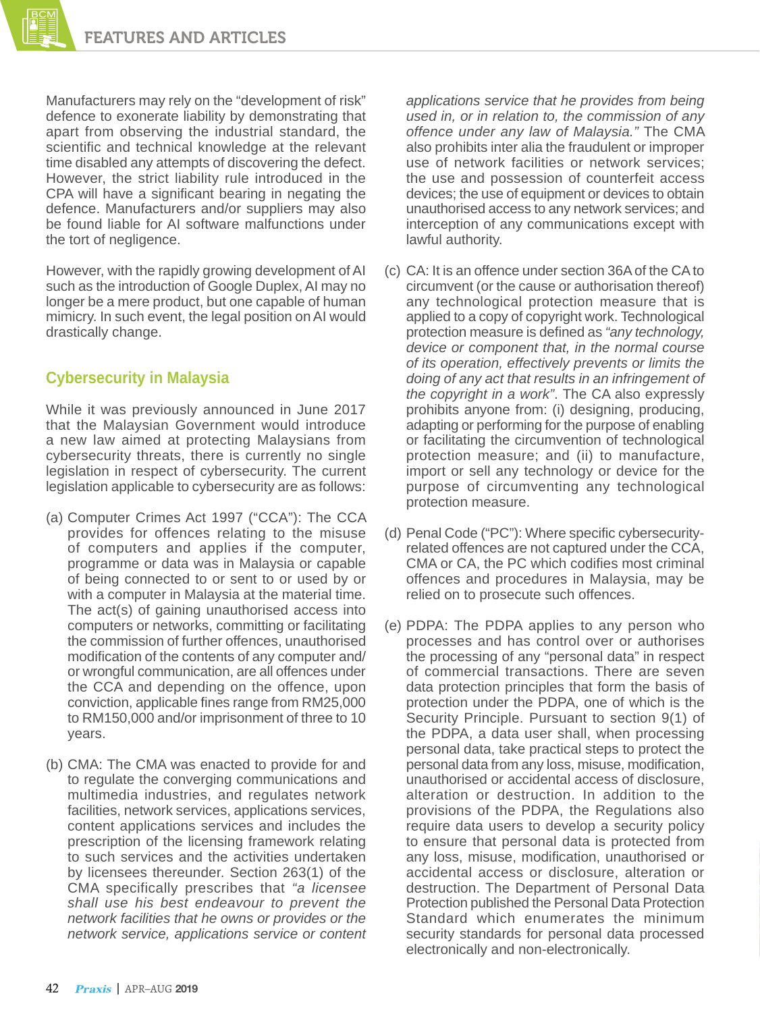Manufacturers may rely on the "development of risk" defence to exonerate liability by demonstrating that apart from observing the industrial standard, the scientific and technical knowledge at the relevant time disabled any attempts of discovering the defect. However, the strict liability rule introduced in the CPA will have a significant bearing in negating the defence. Manufacturers and/or suppliers may also be found liable for AI software malfunctions under the tort of negligence.

However, with the rapidly growing development of AI such as the introduction of Google Duplex, AI may no longer be a mere product, but one capable of human mimicry. In such event, the legal position on AI would drastically change.

# **Cybersecurity in Malaysia**

While it was previously announced in June 2017 that the Malaysian Government would introduce a new law aimed at protecting Malaysians from cybersecurity threats, there is currently no single legislation in respect of cybersecurity. The current legislation applicable to cybersecurity are as follows:

- (a) Computer Crimes Act 1997 ("CCA"): The CCA provides for offences relating to the misuse of computers and applies if the computer, programme or data was in Malaysia or capable of being connected to or sent to or used by or with a computer in Malaysia at the material time. The act(s) of gaining unauthorised access into computers or networks, committing or facilitating the commission of further offences, unauthorised modification of the contents of any computer and/ or wrongful communication, are all offences under the CCA and depending on the offence, upon conviction, applicable fines range from RM25,000 to RM150,000 and/or imprisonment of three to 10 years.
- (b) CMA: The CMA was enacted to provide for and to regulate the converging communications and multimedia industries, and regulates network facilities, network services, applications services, content applications services and includes the prescription of the licensing framework relating to such services and the activities undertaken by licensees thereunder. Section 263(1) of the CMA specifically prescribes that *"a licensee shall use his best endeavour to prevent the network facilities that he owns or provides or the network service, applications service or content*

*applications service that he provides from being used in, or in relation to, the commission of any offence under any law of Malaysia."* The CMA also prohibits inter alia the fraudulent or improper use of network facilities or network services; the use and possession of counterfeit access devices; the use of equipment or devices to obtain unauthorised access to any network services; and interception of any communications except with lawful authority.

- (c) CA: It is an offence under section 36A of the CA to circumvent (or the cause or authorisation thereof) any technological protection measure that is applied to a copy of copyright work. Technological protection measure is defined as *"any technology, device or component that, in the normal course of its operation, effectively prevents or limits the doing of any act that results in an infringement of the copyright in a work"*. The CA also expressly prohibits anyone from: (i) designing, producing, adapting or performing for the purpose of enabling or facilitating the circumvention of technological protection measure; and (ii) to manufacture, import or sell any technology or device for the purpose of circumventing any technological protection measure.
- (d) Penal Code ("PC"): Where specific cybersecurityrelated offences are not captured under the CCA, CMA or CA, the PC which codifies most criminal offences and procedures in Malaysia, may be relied on to prosecute such offences.
- (e) PDPA: The PDPA applies to any person who processes and has control over or authorises the processing of any "personal data" in respect of commercial transactions. There are seven data protection principles that form the basis of protection under the PDPA, one of which is the Security Principle. Pursuant to section 9(1) of the PDPA, a data user shall, when processing personal data, take practical steps to protect the personal data from any loss, misuse, modification, unauthorised or accidental access of disclosure, alteration or destruction. In addition to the provisions of the PDPA, the Regulations also require data users to develop a security policy to ensure that personal data is protected from any loss, misuse, modification, unauthorised or accidental access or disclosure, alteration or destruction. The Department of Personal Data Protection published the Personal Data Protection Standard which enumerates the minimum security standards for personal data processed electronically and non-electronically.